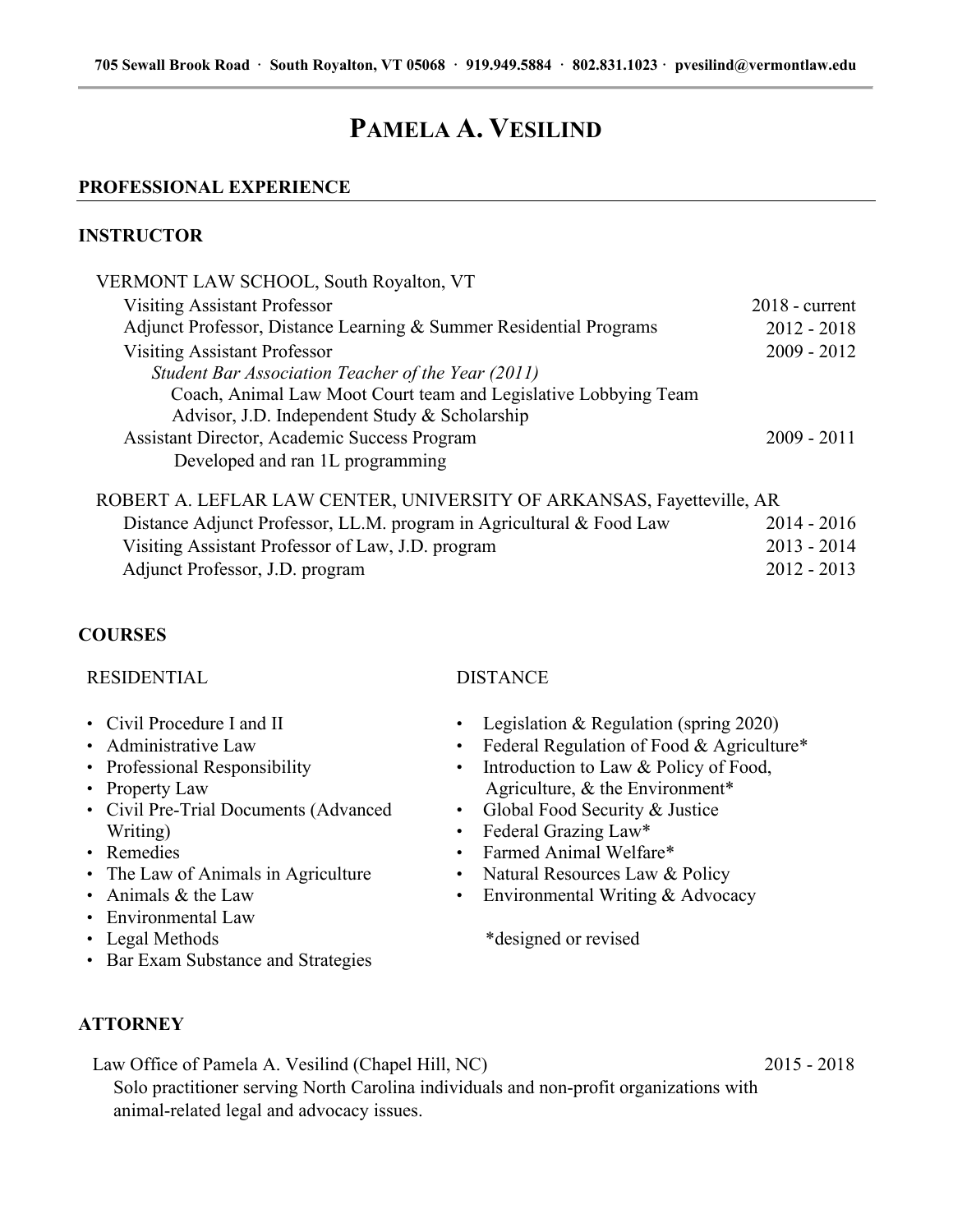# **PAMELA A. VESILIND**

### **PROFESSIONAL EXPERIENCE**

### **INSTRUCTOR**

| VERMONT LAW SCHOOL, South Royalton, VT                                |                  |
|-----------------------------------------------------------------------|------------------|
| <b>Visiting Assistant Professor</b>                                   | $2018$ - current |
| Adjunct Professor, Distance Learning & Summer Residential Programs    | $2012 - 2018$    |
| <b>Visiting Assistant Professor</b>                                   | $2009 - 2012$    |
| Student Bar Association Teacher of the Year (2011)                    |                  |
| Coach, Animal Law Moot Court team and Legislative Lobbying Team       |                  |
| Advisor, J.D. Independent Study & Scholarship                         |                  |
| Assistant Director, Academic Success Program                          | $2009 - 2011$    |
| Developed and ran 1L programming                                      |                  |
| ROBERT A. LEFLAR LAW CENTER, UNIVERSITY OF ARKANSAS, Fayetteville, AR |                  |
| Distance Adjunct Professor, LL.M. program in Agricultural & Food Law  | $2014 - 2016$    |
| Visiting Assistant Professor of Law, J.D. program                     | $2013 - 2014$    |
| Adjunct Professor, J.D. program                                       | $2012 - 2013$    |
|                                                                       |                  |

## **COURSES**

### RESIDENTIAL DISTANCE

\*designed or revised

| • Civil Procedure I and II            | • Legislation & Regulation (spring 2020)    |
|---------------------------------------|---------------------------------------------|
| • Administrative Law                  | • Federal Regulation of Food & Agriculture* |
| • Professional Responsibility         | • Introduction to Law & Policy of Food,     |
| • Property Law                        | Agriculture, & the Environment*             |
| • Civil Pre-Trial Documents (Advanced | • Global Food Security & Justice            |
| Writing)                              | • Federal Grazing Law*                      |
| • Remedies                            | • Farmed Animal Welfare*                    |
| • The Law of Animals in Agriculture   | • Natural Resources Law & Policy            |

- The Law of Animals in Agriculture • Environmental Writing & Advocacy
- Animals & the Law
- Environmental Law
- Legal Methods
- Bar Exam Substance and Strategies

## **ATTORNEY**

 Law Office of Pamela A. Vesilind (Chapel Hill, NC) 2015 - 2018 Solo practitioner serving North Carolina individuals and non-profit organizations with animal-related legal and advocacy issues.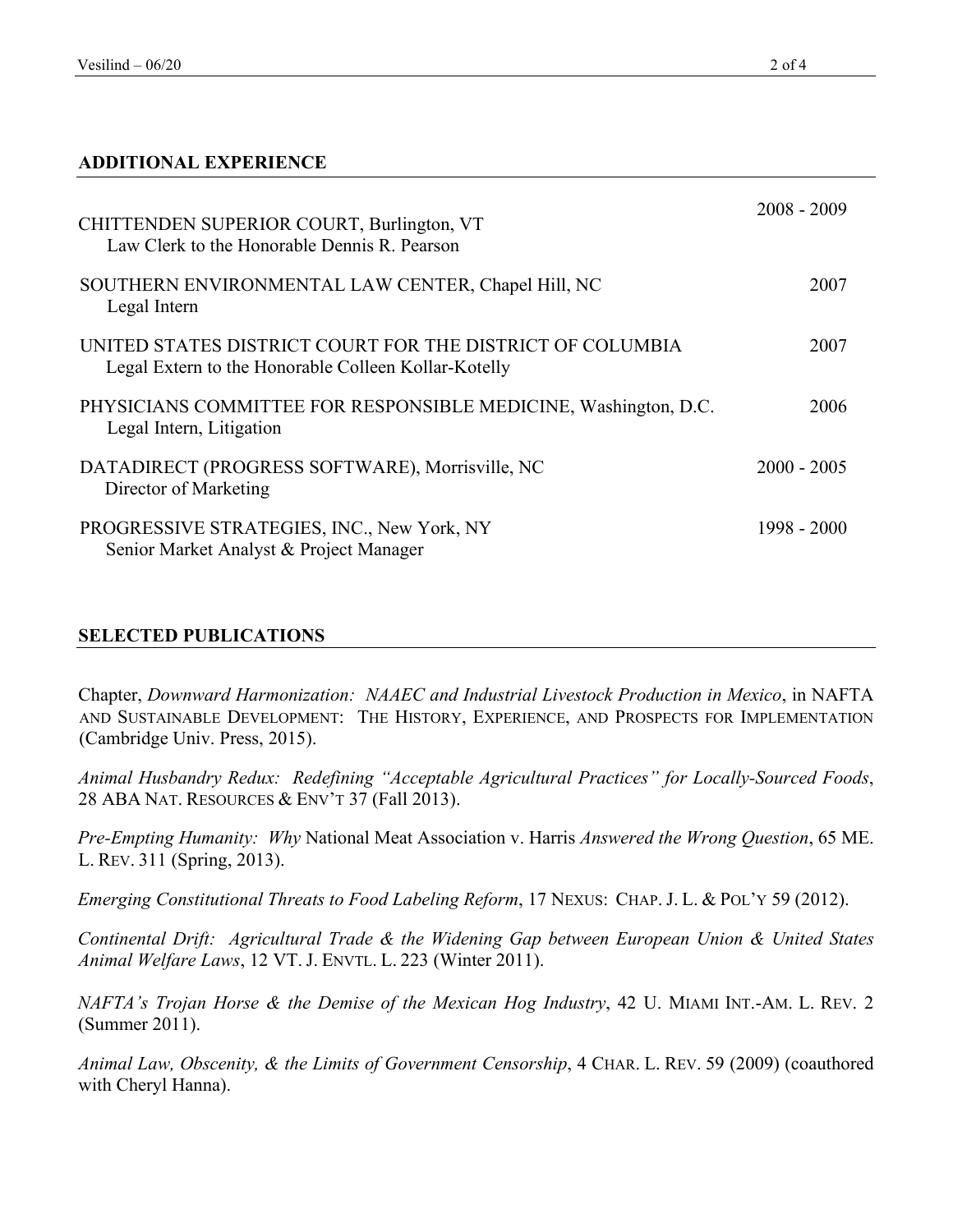## **ADDITIONAL EXPERIENCE**

| CHITTENDEN SUPERIOR COURT, Burlington, VT<br>Law Clerk to the Honorable Dennis R. Pearson                         | $2008 - 2009$ |
|-------------------------------------------------------------------------------------------------------------------|---------------|
| SOUTHERN ENVIRONMENTAL LAW CENTER, Chapel Hill, NC<br>Legal Intern                                                | 2007          |
| UNITED STATES DISTRICT COURT FOR THE DISTRICT OF COLUMBIA<br>Legal Extern to the Honorable Colleen Kollar-Kotelly | 2007          |
| PHYSICIANS COMMITTEE FOR RESPONSIBLE MEDICINE, Washington, D.C.<br>Legal Intern, Litigation                       | 2006          |
| DATADIRECT (PROGRESS SOFTWARE), Morrisville, NC<br>Director of Marketing                                          | $2000 - 2005$ |
| PROGRESSIVE STRATEGIES, INC., New York, NY<br>Senior Market Analyst & Project Manager                             | 1998 - 2000   |

## **SELECTED PUBLICATIONS**

Chapter, *Downward Harmonization: NAAEC and Industrial Livestock Production in Mexico*, in NAFTA AND SUSTAINABLE DEVELOPMENT: THE HISTORY, EXPERIENCE, AND PROSPECTS FOR IMPLEMENTATION (Cambridge Univ. Press, 2015).

*Animal Husbandry Redux: Redefining "Acceptable Agricultural Practices" for Locally-Sourced Foods*, 28 ABA NAT. RESOURCES & ENV'T 37 (Fall 2013).

*Pre-Empting Humanity: Why* National Meat Association v. Harris *Answered the Wrong Question*, 65 ME. L. REV. 311 (Spring, 2013).

*Emerging Constitutional Threats to Food Labeling Reform*, 17 NEXUS: CHAP. J. L. & POL'Y 59 (2012).

*Continental Drift: Agricultural Trade & the Widening Gap between European Union & United States Animal Welfare Laws*, 12 VT. J. ENVTL. L. 223 (Winter 2011).

*NAFTA's Trojan Horse & the Demise of the Mexican Hog Industry*, 42 U. MIAMI INT.-AM. L. REV. 2 (Summer 2011).

*Animal Law, Obscenity, & the Limits of Government Censorship, 4 CHAR. L. REV. 59 (2009)* (coauthored with Cheryl Hanna).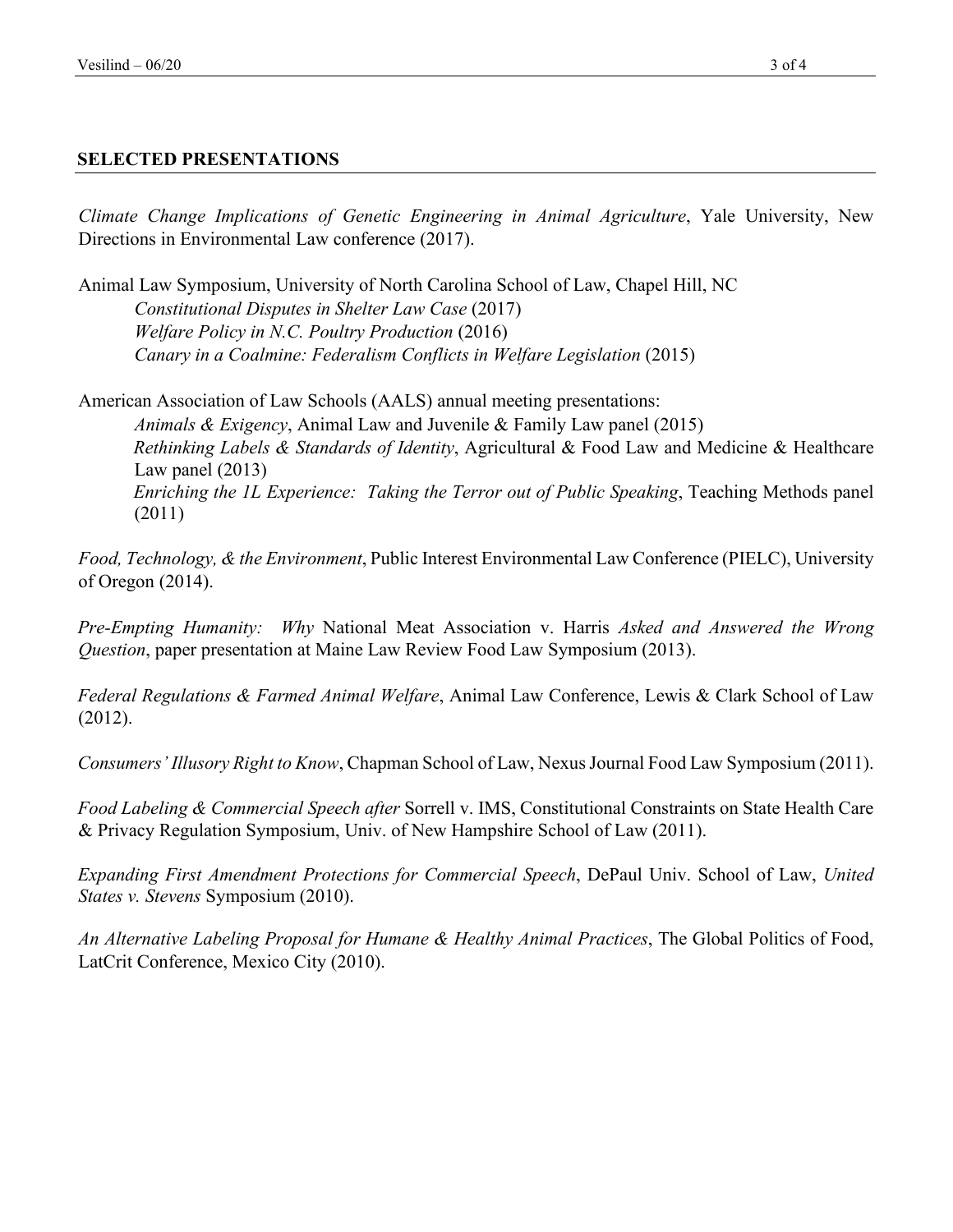## **SELECTED PRESENTATIONS**

*Climate Change Implications of Genetic Engineering in Animal Agriculture*, Yale University, New Directions in Environmental Law conference (2017).

Animal Law Symposium, University of North Carolina School of Law, Chapel Hill, NC *Constitutional Disputes in Shelter Law Case* (2017) *Welfare Policy in N.C. Poultry Production* (2016) *Canary in a Coalmine: Federalism Conflicts in Welfare Legislation* (2015)

American Association of Law Schools (AALS) annual meeting presentations: *Animals & Exigency*, Animal Law and Juvenile & Family Law panel (2015) *Rethinking Labels & Standards of Identity*, Agricultural & Food Law and Medicine & Healthcare Law panel (2013) *Enriching the 1L Experience: Taking the Terror out of Public Speaking*, Teaching Methods panel (2011)

*Food, Technology, & the Environment*, Public Interest Environmental Law Conference (PIELC), University of Oregon (2014).

*Pre-Empting Humanity: Why* National Meat Association v. Harris *Asked and Answered the Wrong Question*, paper presentation at Maine Law Review Food Law Symposium (2013).

*Federal Regulations & Farmed Animal Welfare*, Animal Law Conference, Lewis & Clark School of Law (2012).

*Consumers' Illusory Right to Know*, Chapman School of Law, Nexus Journal Food Law Symposium (2011).

*Food Labeling & Commercial Speech after* Sorrell v. IMS, Constitutional Constraints on State Health Care & Privacy Regulation Symposium, Univ. of New Hampshire School of Law (2011).

*Expanding First Amendment Protections for Commercial Speech*, DePaul Univ. School of Law, *United States v. Stevens* Symposium (2010).

*An Alternative Labeling Proposal for Humane & Healthy Animal Practices*, The Global Politics of Food, LatCrit Conference, Mexico City (2010).